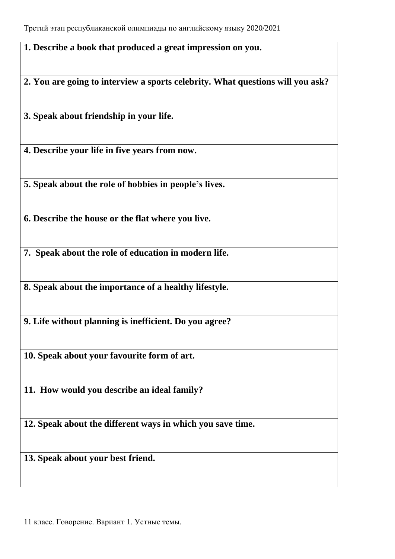**1. Describe a book that produced a great impression on you.**

**2. You are going to interview a sports celebrity. What questions will you ask?** 

**3. Speak about friendship in your life.**

**4. Describe your life in five years from now.**

**5. Speak about the role of hobbies in people's lives.**

**6. Describe the house or the flat where you live.**

**7. Speak about the role of education in modern life.**

**8. Speak about the importance of a healthy lifestyle.**

**9. Life without planning is inefficient. Do you agree?**

**10. Speak about your favourite form of art.**

**11. How would you describe an ideal family?**

**12. Speak about the different ways in which you save time.**

**13. Speak about your best friend.**